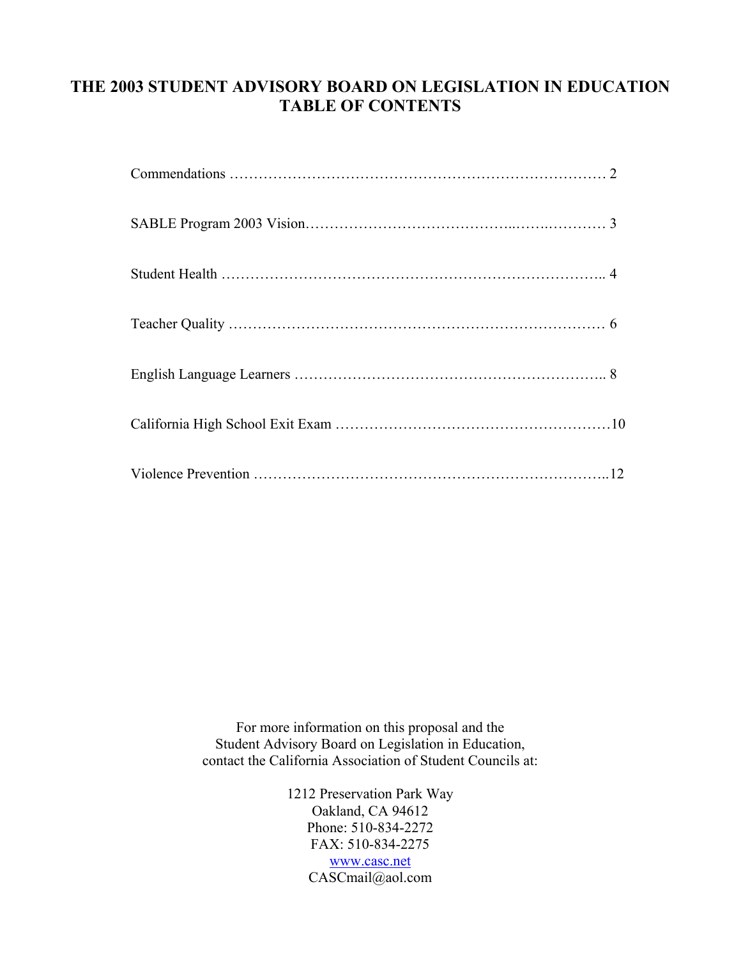# **THE 2003 STUDENT ADVISORY BOARD ON LEGISLATION IN EDUCATION TABLE OF CONTENTS**

For more information on this proposal and the Student Advisory Board on Legislation in Education, contact the California Association of Student Councils at:

> 1212 Preservation Park Way Oakland, CA 94612 Phone: 510-834-2272 FAX: 510-834-2275 [www.casc.net](http://www.casc.net/) CASCmail@aol.com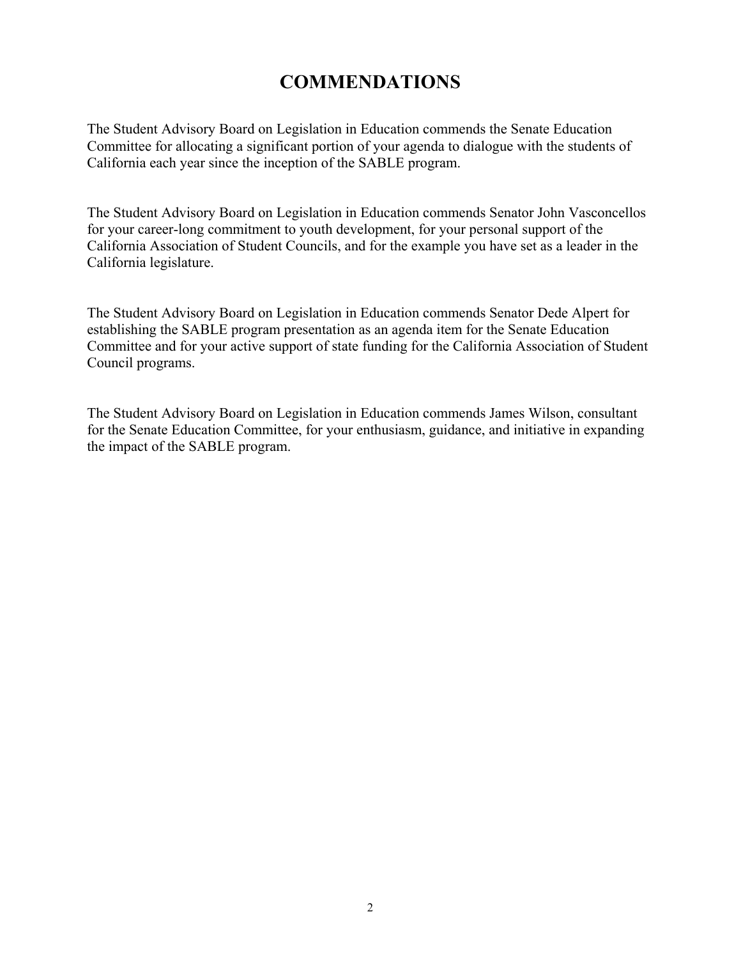# **COMMENDATIONS**

The Student Advisory Board on Legislation in Education commends the Senate Education Committee for allocating a significant portion of your agenda to dialogue with the students of California each year since the inception of the SABLE program.

The Student Advisory Board on Legislation in Education commends Senator John Vasconcellos for your career-long commitment to youth development, for your personal support of the California Association of Student Councils, and for the example you have set as a leader in the California legislature.

The Student Advisory Board on Legislation in Education commends Senator Dede Alpert for establishing the SABLE program presentation as an agenda item for the Senate Education Committee and for your active support of state funding for the California Association of Student Council programs.

The Student Advisory Board on Legislation in Education commends James Wilson, consultant for the Senate Education Committee, for your enthusiasm, guidance, and initiative in expanding the impact of the SABLE program.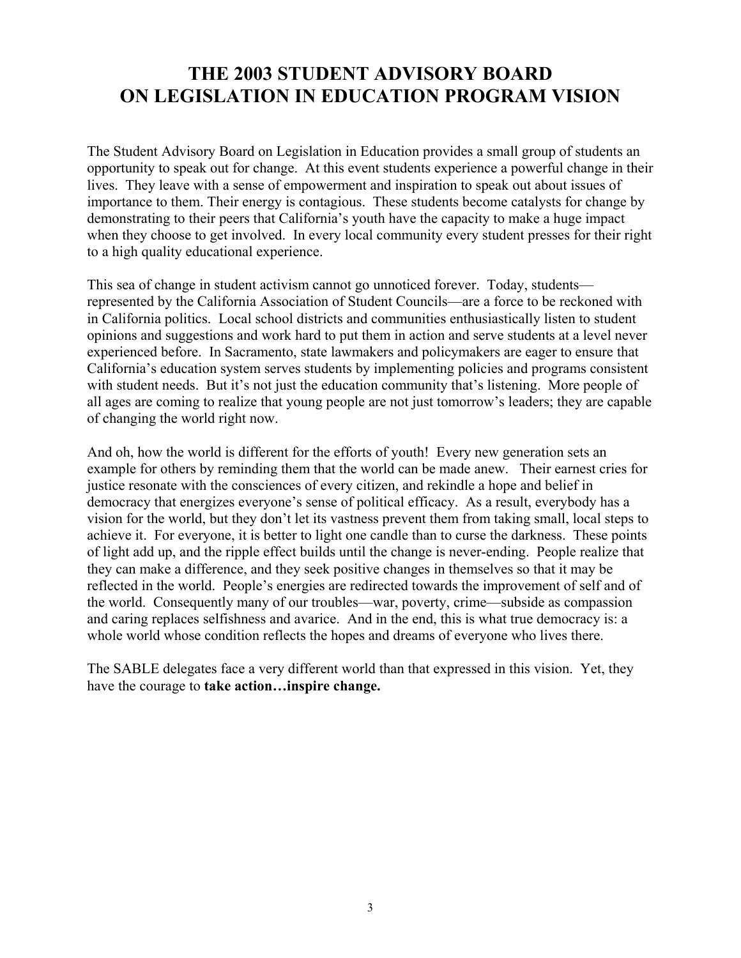# **THE 2003 STUDENT ADVISORY BOARD ON LEGISLATION IN EDUCATION PROGRAM VISION**

The Student Advisory Board on Legislation in Education provides a small group of students an opportunity to speak out for change. At this event students experience a powerful change in their lives. They leave with a sense of empowerment and inspiration to speak out about issues of importance to them. Their energy is contagious. These students become catalysts for change by demonstrating to their peers that California's youth have the capacity to make a huge impact when they choose to get involved. In every local community every student presses for their right to a high quality educational experience.

This sea of change in student activism cannot go unnoticed forever. Today, students represented by the California Association of Student Councils—are a force to be reckoned with in California politics. Local school districts and communities enthusiastically listen to student opinions and suggestions and work hard to put them in action and serve students at a level never experienced before. In Sacramento, state lawmakers and policymakers are eager to ensure that California's education system serves students by implementing policies and programs consistent with student needs. But it's not just the education community that's listening. More people of all ages are coming to realize that young people are not just tomorrow's leaders; they are capable of changing the world right now.

And oh, how the world is different for the efforts of youth! Every new generation sets an example for others by reminding them that the world can be made anew. Their earnest cries for justice resonate with the consciences of every citizen, and rekindle a hope and belief in democracy that energizes everyone's sense of political efficacy. As a result, everybody has a vision for the world, but they don't let its vastness prevent them from taking small, local steps to achieve it. For everyone, it is better to light one candle than to curse the darkness. These points of light add up, and the ripple effect builds until the change is never-ending. People realize that they can make a difference, and they seek positive changes in themselves so that it may be reflected in the world. People's energies are redirected towards the improvement of self and of the world. Consequently many of our troubles—war, poverty, crime—subside as compassion and caring replaces selfishness and avarice. And in the end, this is what true democracy is: a whole world whose condition reflects the hopes and dreams of everyone who lives there.

The SABLE delegates face a very different world than that expressed in this vision. Yet, they have the courage to **take action…inspire change.**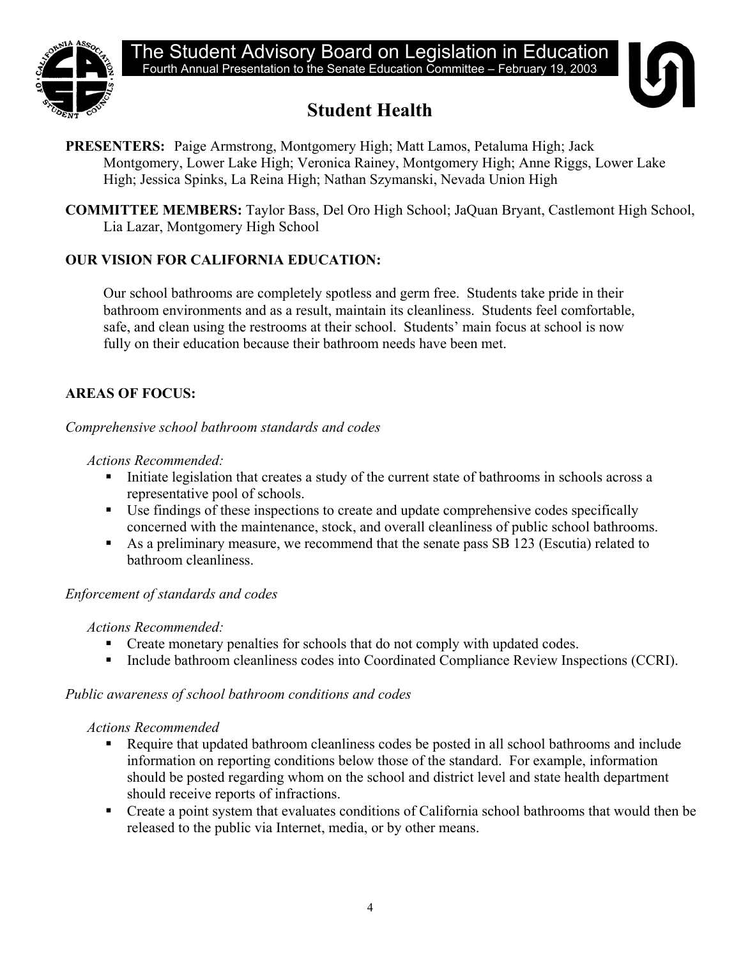



# **Student Health**

- **PRESENTERS:** Paige Armstrong, Montgomery High; Matt Lamos, Petaluma High; Jack Montgomery, Lower Lake High; Veronica Rainey, Montgomery High; Anne Riggs, Lower Lake High; Jessica Spinks, La Reina High; Nathan Szymanski, Nevada Union High
- **COMMITTEE MEMBERS:** Taylor Bass, Del Oro High School; JaQuan Bryant, Castlemont High School, Lia Lazar, Montgomery High School

# **OUR VISION FOR CALIFORNIA EDUCATION:**

Our school bathrooms are completely spotless and germ free. Students take pride in their bathroom environments and as a result, maintain its cleanliness. Students feel comfortable, safe, and clean using the restrooms at their school. Students' main focus at school is now fully on their education because their bathroom needs have been met.

# **AREAS OF FOCUS:**

*Comprehensive school bathroom standards and codes* 

### *Actions Recommended:*

- Initiate legislation that creates a study of the current state of bathrooms in schools across a representative pool of schools.
- Use findings of these inspections to create and update comprehensive codes specifically concerned with the maintenance, stock, and overall cleanliness of public school bathrooms.
- As a preliminary measure, we recommend that the senate pass SB 123 (Escutia) related to bathroom cleanliness.

## *Enforcement of standards and codes*

## *Actions Recommended:*

- Create monetary penalties for schools that do not comply with updated codes.
- Include bathroom cleanliness codes into Coordinated Compliance Review Inspections (CCRI).

## *Public awareness of school bathroom conditions and codes*

#### *Actions Recommended*

- Require that updated bathroom cleanliness codes be posted in all school bathrooms and include information on reporting conditions below those of the standard. For example, information should be posted regarding whom on the school and district level and state health department should receive reports of infractions.
- Create a point system that evaluates conditions of California school bathrooms that would then be released to the public via Internet, media, or by other means.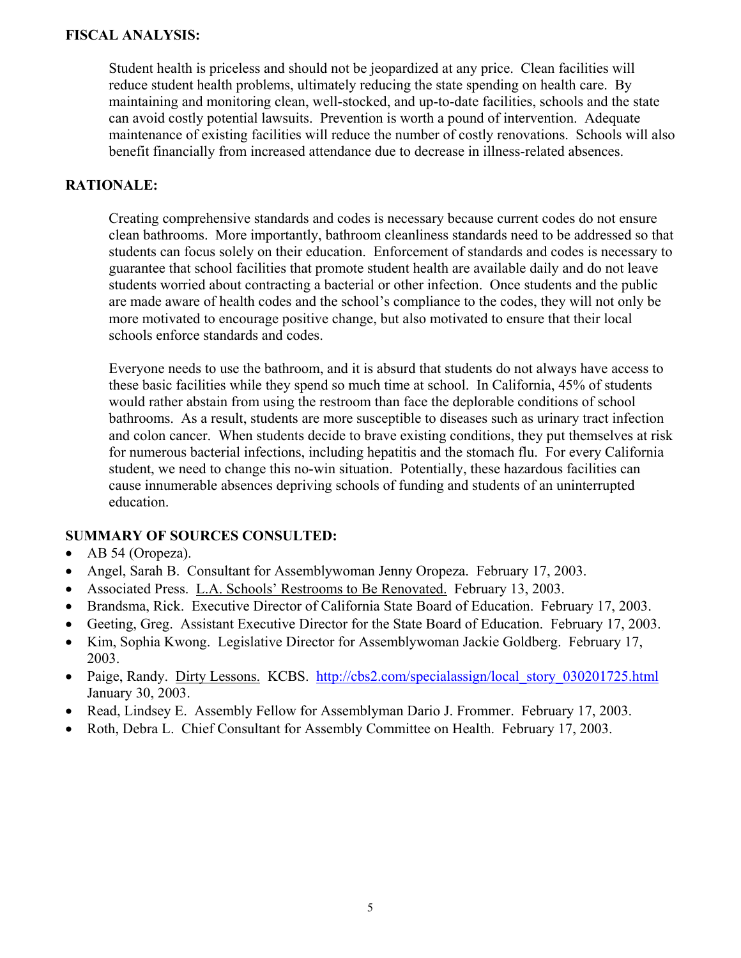Student health is priceless and should not be jeopardized at any price. Clean facilities will reduce student health problems, ultimately reducing the state spending on health care. By maintaining and monitoring clean, well-stocked, and up-to-date facilities, schools and the state can avoid costly potential lawsuits. Prevention is worth a pound of intervention. Adequate maintenance of existing facilities will reduce the number of costly renovations. Schools will also benefit financially from increased attendance due to decrease in illness-related absences.

#### **RATIONALE:**

Creating comprehensive standards and codes is necessary because current codes do not ensure clean bathrooms. More importantly, bathroom cleanliness standards need to be addressed so that students can focus solely on their education. Enforcement of standards and codes is necessary to guarantee that school facilities that promote student health are available daily and do not leave students worried about contracting a bacterial or other infection. Once students and the public are made aware of health codes and the school's compliance to the codes, they will not only be more motivated to encourage positive change, but also motivated to ensure that their local schools enforce standards and codes.

Everyone needs to use the bathroom, and it is absurd that students do not always have access to these basic facilities while they spend so much time at school. In California, 45% of students would rather abstain from using the restroom than face the deplorable conditions of school bathrooms. As a result, students are more susceptible to diseases such as urinary tract infection and colon cancer. When students decide to brave existing conditions, they put themselves at risk for numerous bacterial infections, including hepatitis and the stomach flu. For every California student, we need to change this no-win situation. Potentially, these hazardous facilities can cause innumerable absences depriving schools of funding and students of an uninterrupted education.

- AB 54 (Oropeza).
- Angel, Sarah B. Consultant for Assemblywoman Jenny Oropeza. February 17, 2003.
- Associated Press. L.A. Schools' Restrooms to Be Renovated. February 13, 2003.
- Brandsma, Rick. Executive Director of California State Board of Education. February 17, 2003.
- Geeting, Greg. Assistant Executive Director for the State Board of Education. February 17, 2003.
- Kim, Sophia Kwong. Legislative Director for Assemblywoman Jackie Goldberg. February 17, 2003.
- Paige, Randy. Dirty Lessons. KCBS. [http://cbs2.com/specialassign/local\\_story\\_030201725.html](http://cbs2.com/specialassign/local_story_030201725.html) January 30, 2003.
- Read, Lindsey E. Assembly Fellow for Assemblyman Dario J. Frommer. February 17, 2003.
- Roth, Debra L. Chief Consultant for Assembly Committee on Health. February 17, 2003.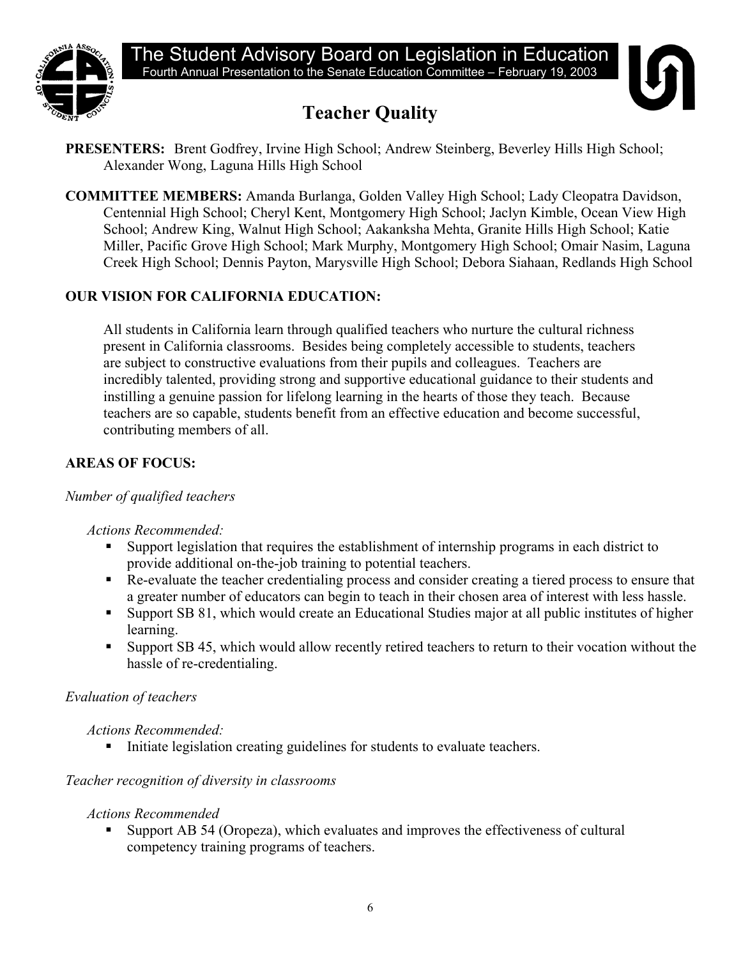

# **Teacher Quality**



- **PRESENTERS:** Brent Godfrey, Irvine High School; Andrew Steinberg, Beverley Hills High School; Alexander Wong, Laguna Hills High School
- **COMMITTEE MEMBERS:** Amanda Burlanga, Golden Valley High School; Lady Cleopatra Davidson, Centennial High School; Cheryl Kent, Montgomery High School; Jaclyn Kimble, Ocean View High School; Andrew King, Walnut High School; Aakanksha Mehta, Granite Hills High School; Katie Miller, Pacific Grove High School; Mark Murphy, Montgomery High School; Omair Nasim, Laguna Creek High School; Dennis Payton, Marysville High School; Debora Siahaan, Redlands High School

# **OUR VISION FOR CALIFORNIA EDUCATION:**

All students in California learn through qualified teachers who nurture the cultural richness present in California classrooms. Besides being completely accessible to students, teachers are subject to constructive evaluations from their pupils and colleagues. Teachers are incredibly talented, providing strong and supportive educational guidance to their students and instilling a genuine passion for lifelong learning in the hearts of those they teach. Because teachers are so capable, students benefit from an effective education and become successful, contributing members of all.

# **AREAS OF FOCUS:**

## *Number of qualified teachers*

 *Actions Recommended:* 

- Support legislation that requires the establishment of internship programs in each district to provide additional on-the-job training to potential teachers.
- Re-evaluate the teacher credentialing process and consider creating a tiered process to ensure that a greater number of educators can begin to teach in their chosen area of interest with less hassle.
- Support SB 81, which would create an Educational Studies major at all public institutes of higher learning.
- Support SB 45, which would allow recently retired teachers to return to their vocation without the hassle of re-credentialing.

# *Evaluation of teachers*

*Actions Recommended:* 

Initiate legislation creating guidelines for students to evaluate teachers.

# *Teacher recognition of diversity in classrooms*

# *Actions Recommended*

 Support AB 54 (Oropeza), which evaluates and improves the effectiveness of cultural competency training programs of teachers.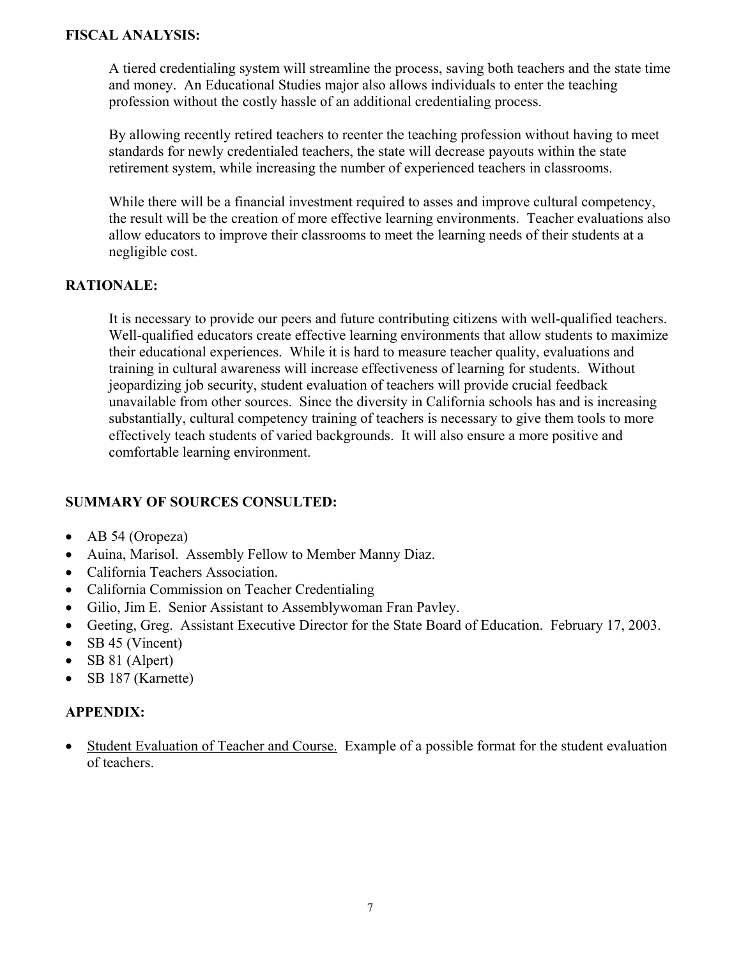A tiered credentialing system will streamline the process, saving both teachers and the state time and money. An Educational Studies major also allows individuals to enter the teaching profession without the costly hassle of an additional credentialing process.

By allowing recently retired teachers to reenter the teaching profession without having to meet standards for newly credentialed teachers, the state will decrease payouts within the state retirement system, while increasing the number of experienced teachers in classrooms.

While there will be a financial investment required to asses and improve cultural competency, the result will be the creation of more effective learning environments. Teacher evaluations also allow educators to improve their classrooms to meet the learning needs of their students at a negligible cost.

#### **RATIONALE:**

It is necessary to provide our peers and future contributing citizens with well-qualified teachers. Well-qualified educators create effective learning environments that allow students to maximize their educational experiences. While it is hard to measure teacher quality, evaluations and training in cultural awareness will increase effectiveness of learning for students. Without jeopardizing job security, student evaluation of teachers will provide crucial feedback unavailable from other sources. Since the diversity in California schools has and is increasing substantially, cultural competency training of teachers is necessary to give them tools to more effectively teach students of varied backgrounds. It will also ensure a more positive and comfortable learning environment.

#### **SUMMARY OF SOURCES CONSULTED:**

- AB 54 (Oropeza)
- Auina, Marisol. Assembly Fellow to Member Manny Diaz.
- California Teachers Association.
- California Commission on Teacher Credentialing
- Gilio, Jim E. Senior Assistant to Assemblywoman Fran Pavley.
- Geeting, Greg. Assistant Executive Director for the State Board of Education. February 17, 2003.
- SB 45 (Vincent)
- SB 81 (Alpert)
- SB 187 (Karnette)

#### **APPENDIX:**

• Student Evaluation of Teacher and Course. Example of a possible format for the student evaluation of teachers.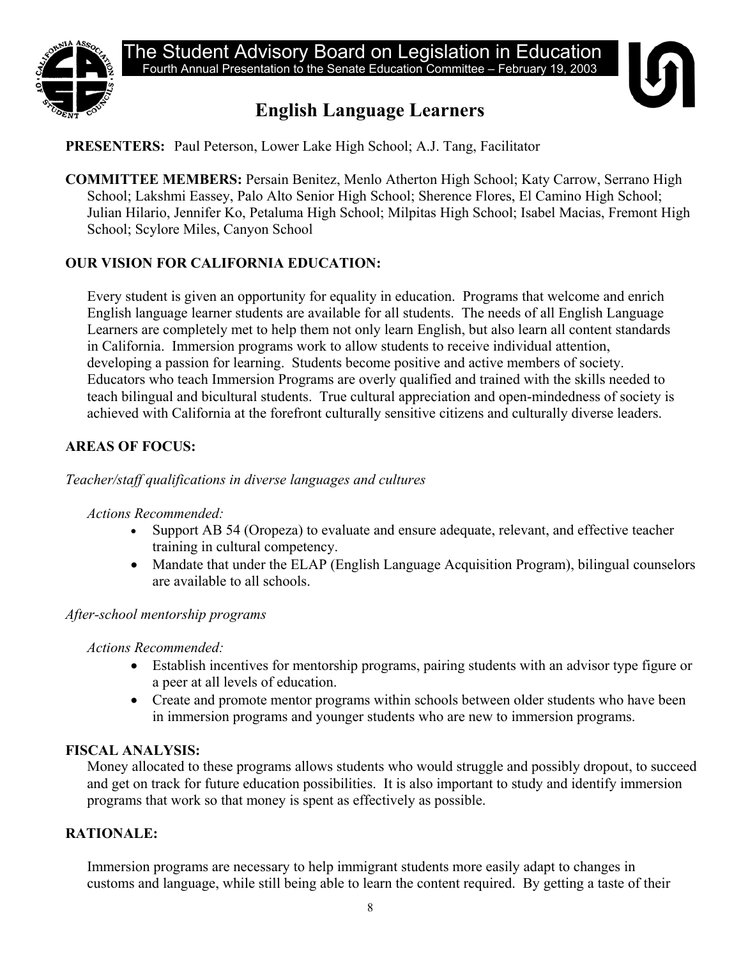

# **English Language Learners**



# **PRESENTERS:** Paul Peterson, Lower Lake High School; A.J. Tang, Facilitator

**COMMITTEE MEMBERS:** Persain Benitez, Menlo Atherton High School; Katy Carrow, Serrano High School; Lakshmi Eassey, Palo Alto Senior High School; Sherence Flores, El Camino High School; Julian Hilario, Jennifer Ko, Petaluma High School; Milpitas High School; Isabel Macias, Fremont High School; Scylore Miles, Canyon School

## **OUR VISION FOR CALIFORNIA EDUCATION:**

Every student is given an opportunity for equality in education. Programs that welcome and enrich English language learner students are available for all students. The needs of all English Language Learners are completely met to help them not only learn English, but also learn all content standards in California. Immersion programs work to allow students to receive individual attention, developing a passion for learning. Students become positive and active members of society. Educators who teach Immersion Programs are overly qualified and trained with the skills needed to teach bilingual and bicultural students. True cultural appreciation and open-mindedness of society is achieved with California at the forefront culturally sensitive citizens and culturally diverse leaders.

## **AREAS OF FOCUS:**

#### *Teacher/staff qualifications in diverse languages and cultures*

#### *Actions Recommended:*

- Support AB 54 (Oropeza) to evaluate and ensure adequate, relevant, and effective teacher training in cultural competency.
- Mandate that under the ELAP (English Language Acquisition Program), bilingual counselors are available to all schools.

#### *After-school mentorship programs*

*Actions Recommended:* 

- Establish incentives for mentorship programs, pairing students with an advisor type figure or a peer at all levels of education.
- Create and promote mentor programs within schools between older students who have been in immersion programs and younger students who are new to immersion programs.

#### **FISCAL ANALYSIS:**

Money allocated to these programs allows students who would struggle and possibly dropout, to succeed and get on track for future education possibilities. It is also important to study and identify immersion programs that work so that money is spent as effectively as possible.

#### **RATIONALE:**

Immersion programs are necessary to help immigrant students more easily adapt to changes in customs and language, while still being able to learn the content required. By getting a taste of their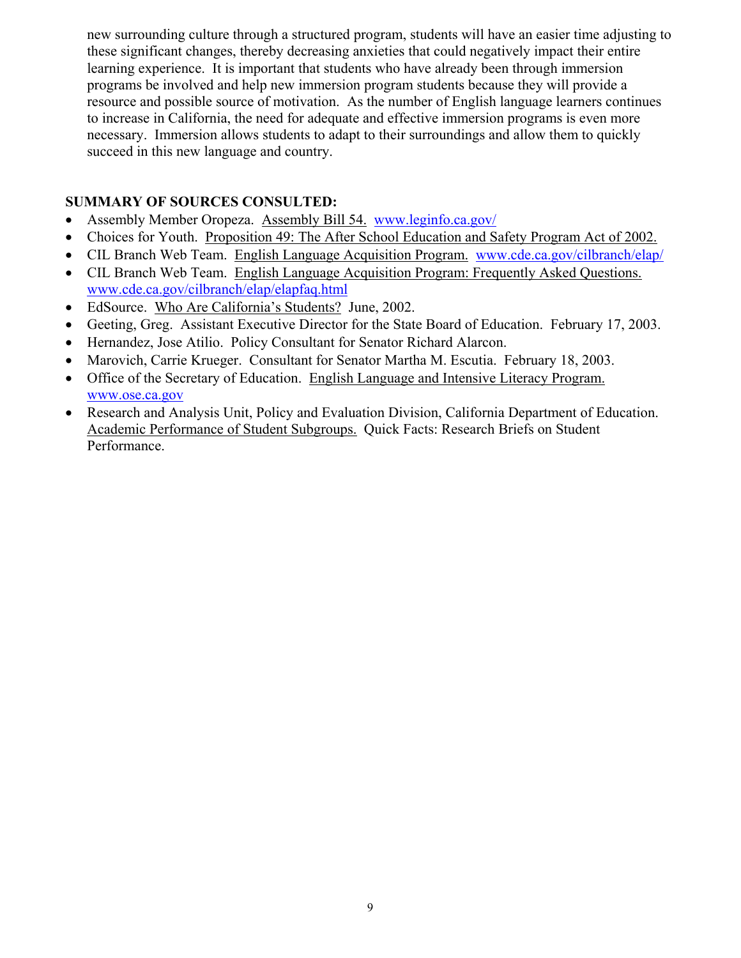new surrounding culture through a structured program, students will have an easier time adjusting to these significant changes, thereby decreasing anxieties that could negatively impact their entire learning experience. It is important that students who have already been through immersion programs be involved and help new immersion program students because they will provide a resource and possible source of motivation. As the number of English language learners continues to increase in California, the need for adequate and effective immersion programs is even more necessary. Immersion allows students to adapt to their surroundings and allow them to quickly succeed in this new language and country.

- Assembly Member Oropeza. Assembly Bill 54. [www.leginfo.ca.gov/](http://www.leginfo.ca.gov/)
- Choices for Youth. Proposition 49: The After School Education and Safety Program Act of 2002.
- CIL Branch Web Team. English Language Acquisition Program. [www.cde.ca.gov/cilbranch/elap/](http://www.cde.ca.gov/cilbranch/elap/)
- CIL Branch Web Team. English Language Acquisition Program: Frequently Asked Questions. [www.cde.ca.gov/cilbranch/elap/elapfaq.html](http://www.cde.ca.gov/cilbranch/elap/elapfaq.html)
- EdSource. Who Are California's Students? June, 2002.
- Geeting, Greg. Assistant Executive Director for the State Board of Education. February 17, 2003.
- Hernandez, Jose Atilio. Policy Consultant for Senator Richard Alarcon.
- Marovich, Carrie Krueger. Consultant for Senator Martha M. Escutia. February 18, 2003.
- Office of the Secretary of Education. English Language and Intensive Literacy Program. [www.ose.ca.gov](http://www.ose.ca.gov/)
- Research and Analysis Unit, Policy and Evaluation Division, California Department of Education. Academic Performance of Student Subgroups. Quick Facts: Research Briefs on Student Performance.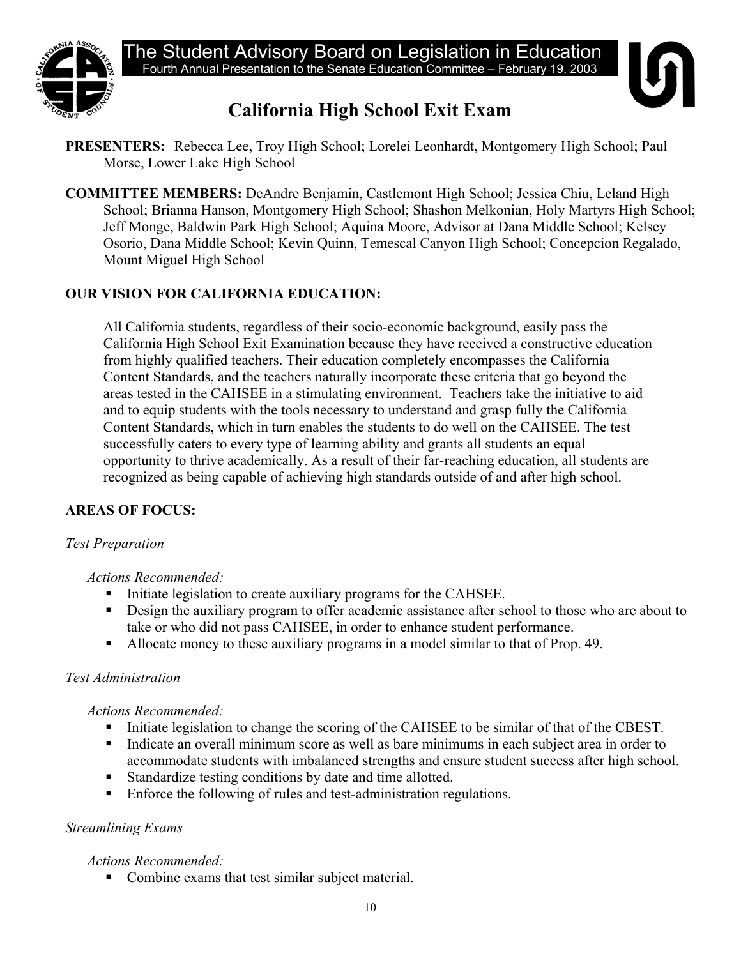

# **California High School Exit Exam**



- **PRESENTERS:** Rebecca Lee, Troy High School; Lorelei Leonhardt, Montgomery High School; Paul Morse, Lower Lake High School
- **COMMITTEE MEMBERS:** DeAndre Benjamin, Castlemont High School; Jessica Chiu, Leland High School; Brianna Hanson, Montgomery High School; Shashon Melkonian, Holy Martyrs High School; Jeff Monge, Baldwin Park High School; Aquina Moore, Advisor at Dana Middle School; Kelsey Osorio, Dana Middle School; Kevin Quinn, Temescal Canyon High School; Concepcion Regalado, Mount Miguel High School

# **OUR VISION FOR CALIFORNIA EDUCATION:**

All California students, regardless of their socio-economic background, easily pass the California High School Exit Examination because they have received a constructive education from highly qualified teachers. Their education completely encompasses the California Content Standards, and the teachers naturally incorporate these criteria that go beyond the areas tested in the CAHSEE in a stimulating environment. Teachers take the initiative to aid and to equip students with the tools necessary to understand and grasp fully the California Content Standards, which in turn enables the students to do well on the CAHSEE. The test successfully caters to every type of learning ability and grants all students an equal opportunity to thrive academically. As a result of their far-reaching education, all students are recognized as being capable of achieving high standards outside of and after high school.

## **AREAS OF FOCUS:**

#### *Test Preparation*

#### *Actions Recommended:*

- Initiate legislation to create auxiliary programs for the CAHSEE.
- **•** Design the auxiliary program to offer academic assistance after school to those who are about to take or who did not pass CAHSEE, in order to enhance student performance.
- Allocate money to these auxiliary programs in a model similar to that of Prop. 49.

#### *Test Administration*

#### *Actions Recommended:*

- Initiate legislation to change the scoring of the CAHSEE to be similar of that of the CBEST.
- Indicate an overall minimum score as well as bare minimums in each subject area in order to accommodate students with imbalanced strengths and ensure student success after high school.
- Standardize testing conditions by date and time allotted.
- Enforce the following of rules and test-administration regulations.

## *Streamlining Exams*

#### *Actions Recommended:*

• Combine exams that test similar subject material.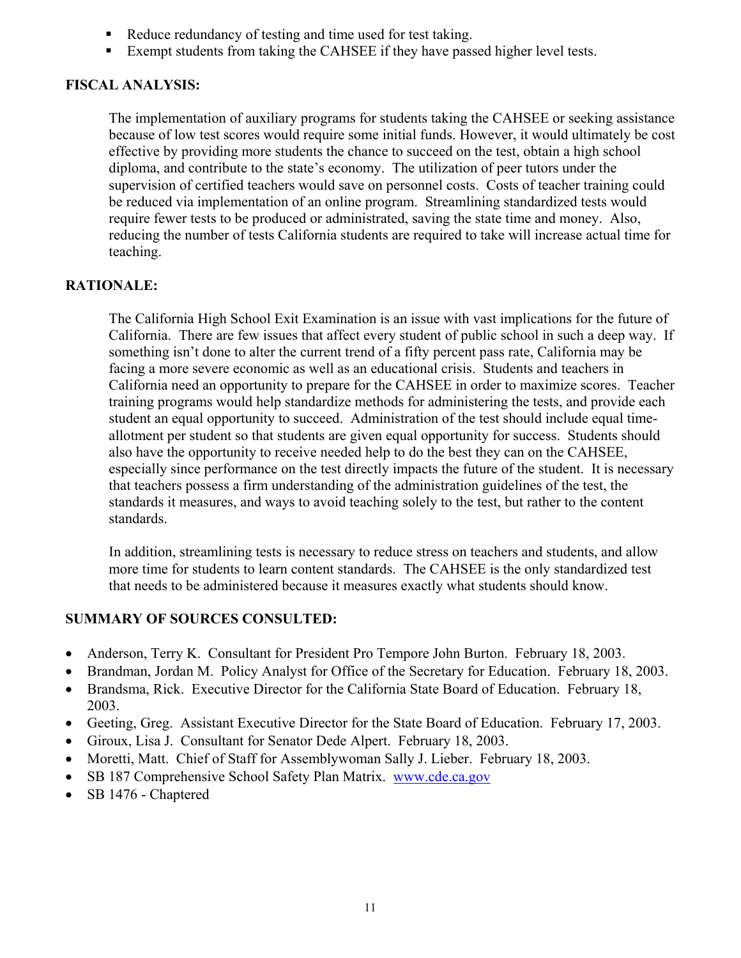- Reduce redundancy of testing and time used for test taking.
- Exempt students from taking the CAHSEE if they have passed higher level tests.

The implementation of auxiliary programs for students taking the CAHSEE or seeking assistance because of low test scores would require some initial funds. However, it would ultimately be cost effective by providing more students the chance to succeed on the test, obtain a high school diploma, and contribute to the state's economy. The utilization of peer tutors under the supervision of certified teachers would save on personnel costs. Costs of teacher training could be reduced via implementation of an online program. Streamlining standardized tests would require fewer tests to be produced or administrated, saving the state time and money. Also, reducing the number of tests California students are required to take will increase actual time for teaching.

### **RATIONALE:**

The California High School Exit Examination is an issue with vast implications for the future of California. There are few issues that affect every student of public school in such a deep way. If something isn't done to alter the current trend of a fifty percent pass rate, California may be facing a more severe economic as well as an educational crisis. Students and teachers in California need an opportunity to prepare for the CAHSEE in order to maximize scores. Teacher training programs would help standardize methods for administering the tests, and provide each student an equal opportunity to succeed. Administration of the test should include equal timeallotment per student so that students are given equal opportunity for success. Students should also have the opportunity to receive needed help to do the best they can on the CAHSEE, especially since performance on the test directly impacts the future of the student. It is necessary that teachers possess a firm understanding of the administration guidelines of the test, the standards it measures, and ways to avoid teaching solely to the test, but rather to the content standards.

In addition, streamlining tests is necessary to reduce stress on teachers and students, and allow more time for students to learn content standards. The CAHSEE is the only standardized test that needs to be administered because it measures exactly what students should know.

- Anderson, Terry K. Consultant for President Pro Tempore John Burton. February 18, 2003.
- Brandman, Jordan M. Policy Analyst for Office of the Secretary for Education. February 18, 2003.
- Brandsma, Rick. Executive Director for the California State Board of Education. February 18, 2003.
- Geeting, Greg. Assistant Executive Director for the State Board of Education. February 17, 2003.
- Giroux, Lisa J. Consultant for Senator Dede Alpert. February 18, 2003.
- Moretti, Matt. Chief of Staff for Assemblywoman Sally J. Lieber. February 18, 2003.
- SB 187 Comprehensive School Safety Plan Matrix. [www.cde.ca.gov](http://www.cde.ca.gov/)
- SB 1476 Chaptered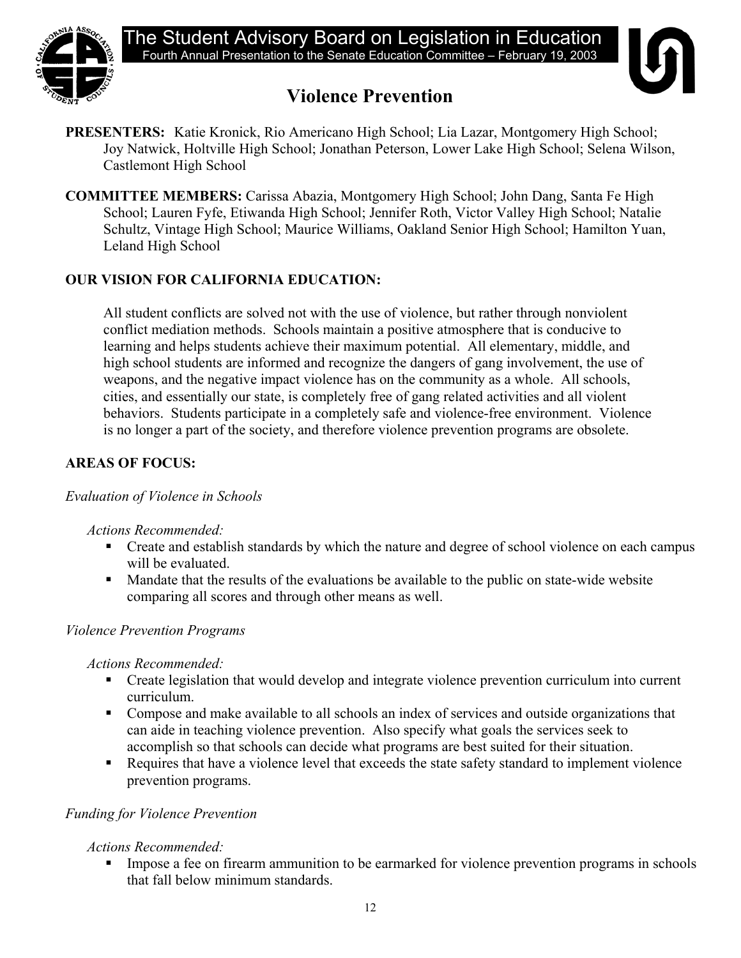



# **Violence Prevention**

- **PRESENTERS:** Katie Kronick, Rio Americano High School; Lia Lazar, Montgomery High School; Joy Natwick, Holtville High School; Jonathan Peterson, Lower Lake High School; Selena Wilson, Castlemont High School
- **COMMITTEE MEMBERS:** Carissa Abazia, Montgomery High School; John Dang, Santa Fe High School; Lauren Fyfe, Etiwanda High School; Jennifer Roth, Victor Valley High School; Natalie Schultz, Vintage High School; Maurice Williams, Oakland Senior High School; Hamilton Yuan, Leland High School

# **OUR VISION FOR CALIFORNIA EDUCATION:**

All student conflicts are solved not with the use of violence, but rather through nonviolent conflict mediation methods. Schools maintain a positive atmosphere that is conducive to learning and helps students achieve their maximum potential. All elementary, middle, and high school students are informed and recognize the dangers of gang involvement, the use of weapons, and the negative impact violence has on the community as a whole. All schools, cities, and essentially our state, is completely free of gang related activities and all violent behaviors. Students participate in a completely safe and violence-free environment. Violence is no longer a part of the society, and therefore violence prevention programs are obsolete.

# **AREAS OF FOCUS:**

#### *Evaluation of Violence in Schools*

 *Actions Recommended:* 

- Create and establish standards by which the nature and degree of school violence on each campus will be evaluated.
- Mandate that the results of the evaluations be available to the public on state-wide website comparing all scores and through other means as well.

## *Violence Prevention Programs*

*Actions Recommended:* 

- Create legislation that would develop and integrate violence prevention curriculum into current curriculum.
- Compose and make available to all schools an index of services and outside organizations that can aide in teaching violence prevention. Also specify what goals the services seek to accomplish so that schools can decide what programs are best suited for their situation.
- Requires that have a violence level that exceeds the state safety standard to implement violence prevention programs.

## *Funding for Violence Prevention*

## *Actions Recommended:*

**IMPO** Impose a fee on firearm ammunition to be earmarked for violence prevention programs in schools that fall below minimum standards.